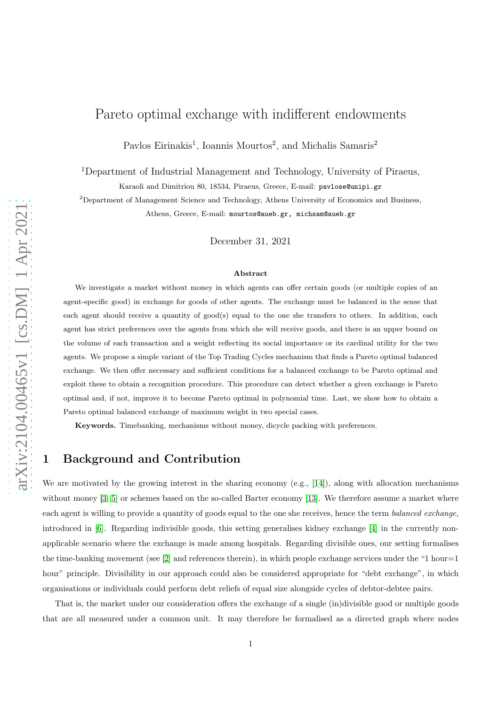# Pareto optimal exchange with indifferent endowments

Pavlos Eirinakis<sup>1</sup>, Ioannis Mourtos<sup>2</sup>, and Michalis Samaris<sup>2</sup>

<sup>1</sup>Department of Industrial Management and Technology, University of Piraeus,

Karaoli and Dimitriou 80, 18534, Piraeus, Greece, E-mail: pavlose@unipi.gr

<sup>2</sup>Department of Management Science and Technology, Athens University of Economics and Business, Athens, Greece, E-mail: mourtos@aueb.gr, michsam@aueb.gr

December 31, 2021

#### Abstract

We investigate a market without money in which agents can offer certain goods (or multiple copies of an agent-specific good) in exchange for goods of other agents. The exchange must be balanced in the sense that each agent should receive a quantity of good(s) equal to the one she transfers to others. In addition, each agent has strict preferences over the agents from which she will receive goods, and there is an upper bound on the volume of each transaction and a weight reflecting its social importance or its cardinal utility for the two agents. We propose a simple variant of the Top Trading Cycles mechanism that finds a Pareto optimal balanced exchange. We then offer necessary and sufficient conditions for a balanced exchange to be Pareto optimal and exploit these to obtain a recognition procedure. This procedure can detect whether a given exchange is Pareto optimal and, if not, improve it to become Pareto optimal in polynomial time. Last, we show how to obtain a Pareto optimal balanced exchange of maximum weight in two special cases.

Keywords. Timebanking, mechanisms without money, dicycle packing with preferences.

## 1 Background and Contribution

We are motivated by the growing interest in the sharing economy (e.g., [\[14\]](#page-17-0)), along with allocation mechanisms without money [\[3,](#page-17-1) [5\]](#page-17-2) or schemes based on the so-called Barter economy [\[13\]](#page-17-3). We therefore assume a market where each agent is willing to provide a quantity of goods equal to the one she receives, hence the term *balanced exchange*, introduced in [\[6\]](#page-17-4). Regarding indivisible goods, this setting generalises kidney exchange [\[4\]](#page-17-5) in the currently nonapplicable scenario where the exchange is made among hospitals. Regarding divisible ones, our setting formalises the time-banking movement (see [\[2\]](#page-16-0) and references therein), in which people exchange services under the "1 hour=1 hour" principle. Divisibility in our approach could also be considered appropriate for "debt exchange", in which organisations or individuals could perform debt reliefs of equal size alongside cycles of debtor-debtee pairs.

That is, the market under our consideration offers the exchange of a single (in)divisible good or multiple goods that are all measured under a common unit. It may therefore be formalised as a directed graph where nodes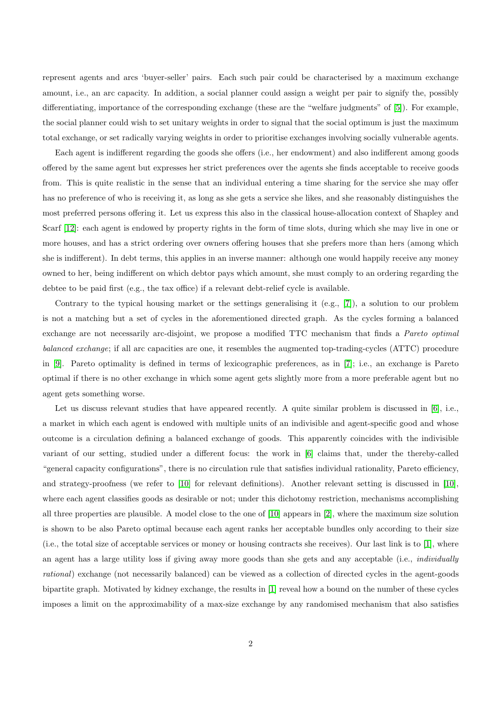represent agents and arcs 'buyer-seller' pairs. Each such pair could be characterised by a maximum exchange amount, i.e., an arc capacity. In addition, a social planner could assign a weight per pair to signify the, possibly differentiating, importance of the corresponding exchange (these are the "welfare judgments" of [\[5\]](#page-17-2)). For example, the social planner could wish to set unitary weights in order to signal that the social optimum is just the maximum total exchange, or set radically varying weights in order to prioritise exchanges involving socially vulnerable agents.

Each agent is indifferent regarding the goods she offers (i.e., her endowment) and also indifferent among goods offered by the same agent but expresses her strict preferences over the agents she finds acceptable to receive goods from. This is quite realistic in the sense that an individual entering a time sharing for the service she may offer has no preference of who is receiving it, as long as she gets a service she likes, and she reasonably distinguishes the most preferred persons offering it. Let us express this also in the classical house-allocation context of Shapley and Scarf [\[12\]](#page-17-6): each agent is endowed by property rights in the form of time slots, during which she may live in one or more houses, and has a strict ordering over owners offering houses that she prefers more than hers (among which she is indifferent). In debt terms, this applies in an inverse manner: although one would happily receive any money owned to her, being indifferent on which debtor pays which amount, she must comply to an ordering regarding the debtee to be paid first (e.g., the tax office) if a relevant debt-relief cycle is available.

Contrary to the typical housing market or the settings generalising it (e.g., [\[7\]](#page-17-7)), a solution to our problem is not a matching but a set of cycles in the aforementioned directed graph. As the cycles forming a balanced exchange are not necessarily arc-disjoint, we propose a modified TTC mechanism that finds a *Pareto optimal balanced exchange*; if all arc capacities are one, it resembles the augmented top-trading-cycles (ATTC) procedure in [\[9\]](#page-17-8). Pareto optimality is defined in terms of lexicographic preferences, as in [\[7\]](#page-17-7); i.e., an exchange is Pareto optimal if there is no other exchange in which some agent gets slightly more from a more preferable agent but no agent gets something worse.

Let us discuss relevant studies that have appeared recently. A quite similar problem is discussed in [\[6\]](#page-17-4), i.e., a market in which each agent is endowed with multiple units of an indivisible and agent-specific good and whose outcome is a circulation defining a balanced exchange of goods. This apparently coincides with the indivisible variant of our setting, studied under a different focus: the work in [\[6\]](#page-17-4) claims that, under the thereby-called "general capacity configurations", there is no circulation rule that satisfies individual rationality, Pareto efficiency, and strategy-proofness (we refer to [\[10\]](#page-17-9) for relevant definitions). Another relevant setting is discussed in [\[10\]](#page-17-9), where each agent classifies goods as desirable or not; under this dichotomy restriction, mechanisms accomplishing all three properties are plausible. A model close to the one of [\[10\]](#page-17-9) appears in [\[2\]](#page-16-0), where the maximum size solution is shown to be also Pareto optimal because each agent ranks her acceptable bundles only according to their size (i.e., the total size of acceptable services or money or housing contracts she receives). Our last link is to [\[1\]](#page-16-1), where an agent has a large utility loss if giving away more goods than she gets and any acceptable (i.e., *individually rational*) exchange (not necessarily balanced) can be viewed as a collection of directed cycles in the agent-goods bipartite graph. Motivated by kidney exchange, the results in [\[1\]](#page-16-1) reveal how a bound on the number of these cycles imposes a limit on the approximability of a max-size exchange by any randomised mechanism that also satisfies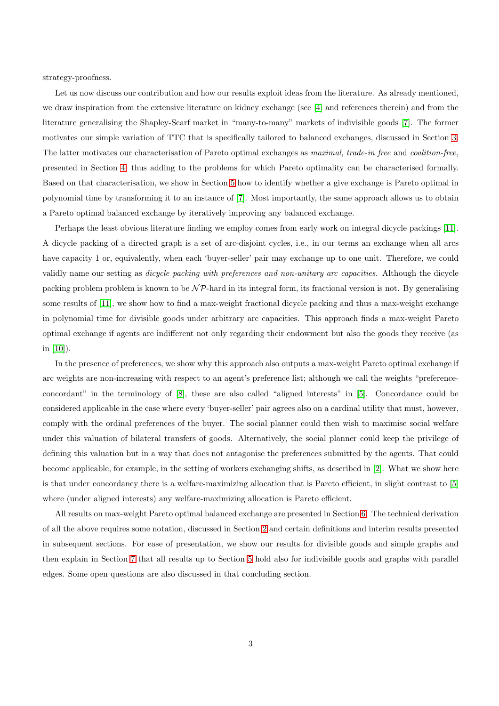strategy-proofness.

Let us now discuss our contribution and how our results exploit ideas from the literature. As already mentioned, we draw inspiration from the extensive literature on kidney exchange (see [\[4\]](#page-17-5) and references therein) and from the literature generalising the Shapley-Scarf market in "many-to-many" markets of indivisible goods [\[7\]](#page-17-7). The former motivates our simple variation of TTC that is specifically tailored to balanced exchanges, discussed in Section [3.](#page-3-0) The latter motivates our characterisation of Pareto optimal exchanges as *maximal*, *trade-in free* and *coalition-free*, presented in Section [4,](#page-5-0) thus adding to the problems for which Pareto optimality can be characterised formally. Based on that characterisation, we show in Section [5](#page-8-0) how to identify whether a give exchange is Pareto optimal in polynomial time by transforming it to an instance of [\[7\]](#page-17-7). Most importantly, the same approach allows us to obtain a Pareto optimal balanced exchange by iteratively improving any balanced exchange.

Perhaps the least obvious literature finding we employ comes from early work on integral dicycle packings [\[11\]](#page-17-10). A dicycle packing of a directed graph is a set of arc-disjoint cycles, i.e., in our terms an exchange when all arcs have capacity 1 or, equivalently, when each 'buyer-seller' pair may exchange up to one unit. Therefore, we could validly name our setting as *dicycle packing with preferences and non-unitary arc capacities.* Although the dicycle packing problem problem is known to be  $\mathcal{NP}$ -hard in its integral form, its fractional version is not. By generalising some results of [\[11\]](#page-17-10), we show how to find a max-weight fractional dicycle packing and thus a max-weight exchange in polynomial time for divisible goods under arbitrary arc capacities. This approach finds a max-weight Pareto optimal exchange if agents are indifferent not only regarding their endowment but also the goods they receive (as in [\[10\]](#page-17-9)).

In the presence of preferences, we show why this approach also outputs a max-weight Pareto optimal exchange if arc weights are non-increasing with respect to an agent's preference list; although we call the weights "preferenceconcordant" in the terminology of [\[8\]](#page-17-11), these are also called "aligned interests" in [\[5\]](#page-17-2). Concordance could be considered applicable in the case where every 'buyer-seller' pair agrees also on a cardinal utility that must, however, comply with the ordinal preferences of the buyer. The social planner could then wish to maximise social welfare under this valuation of bilateral transfers of goods. Alternatively, the social planner could keep the privilege of defining this valuation but in a way that does not antagonise the preferences submitted by the agents. That could become applicable, for example, in the setting of workers exchanging shifts, as described in [\[2\]](#page-16-0). What we show here is that under concordancy there is a welfare-maximizing allocation that is Pareto efficient, in slight contrast to [\[5\]](#page-17-2) where (under aligned interests) any welfare-maximizing allocation is Pareto efficient.

All results on max-weight Pareto optimal balanced exchange are presented in Section [6.](#page-10-0) The technical derivation of all the above requires some notation, discussed in Section [2](#page-3-1) and certain definitions and interim results presented in subsequent sections. For ease of presentation, we show our results for divisible goods and simple graphs and then explain in Section [7](#page-15-0) that all results up to Section [5](#page-8-0) hold also for indivisible goods and graphs with parallel edges. Some open questions are also discussed in that concluding section.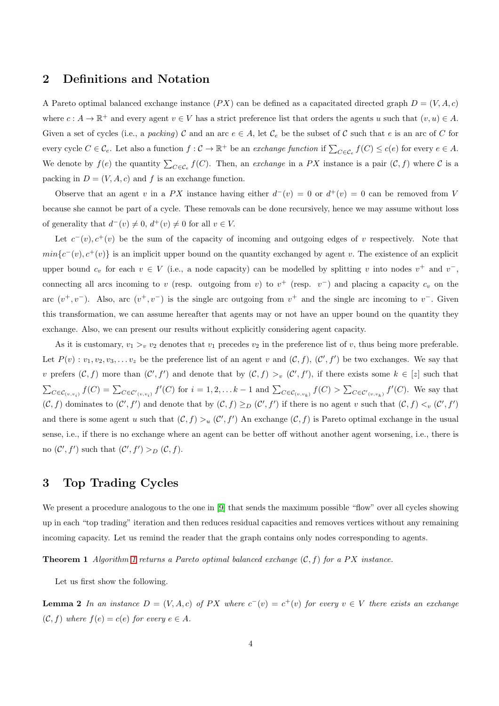### <span id="page-3-1"></span>2 Definitions and Notation

A Pareto optimal balanced exchange instance  $(PX)$  can be defined as a capacitated directed graph  $D = (V, A, c)$ where  $c: A \to \mathbb{R}^+$  and every agent  $v \in V$  has a strict preference list that orders the agents u such that  $(v, u) \in A$ . Given a set of cycles (i.e., a *packing*) C and an arc  $e \in A$ , let  $C_e$  be the subset of C such that e is an arc of C for every cycle  $C \in \mathcal{C}_e$ . Let also a function  $f: \mathcal{C} \to \mathbb{R}^+$  be an *exchange function* if  $\sum_{C \in \mathcal{C}_e} f(C) \leq c(e)$  for every  $e \in A$ . We denote by  $f(e)$  the quantity  $\sum_{C \in \mathcal{C}_e} f(C)$ . Then, an *exchange* in a PX instance is a pair  $(C, f)$  where C is a packing in  $D = (V, A, c)$  and f is an exchange function.

Observe that an agent v in a PX instance having either  $d^-(v) = 0$  or  $d^+(v) = 0$  can be removed from V because she cannot be part of a cycle. These removals can be done recursively, hence we may assume without loss of generality that  $d^-(v) \neq 0$ ,  $d^+(v) \neq 0$  for all  $v \in V$ .

Let  $c^-(v)$ ,  $c^+(v)$  be the sum of the capacity of incoming and outgoing edges of v respectively. Note that  $min{c^-(v), c^+(v)}$  is an implicit upper bound on the quantity exchanged by agent v. The existence of an explicit upper bound  $c_v$  for each  $v \in V$  (i.e., a node capacity) can be modelled by splitting v into nodes  $v^+$  and  $v^-$ , connecting all arcs incoming to v (resp. outgoing from v) to  $v^+$  (resp.  $v^-$ ) and placing a capacity  $c_v$  on the arc  $(v^+, v^-)$ . Also, arc  $(v^+, v^-)$  is the single arc outgoing from  $v^+$  and the single arc incoming to  $v^-$ . Given this transformation, we can assume hereafter that agents may or not have an upper bound on the quantity they exchange. Also, we can present our results without explicitly considering agent capacity.

As it is customary,  $v_1 >_v v_2$  denotes that  $v_1$  precedes  $v_2$  in the preference list of v, thus being more preferable. Let  $P(v): v_1, v_2, v_3, \ldots v_z$  be the preference list of an agent v and  $(C, f)$ ,  $(C', f')$  be two exchanges. We say that v prefers  $(C, f)$  more than  $(C', f')$  and denote that by  $(C, f) >_v (C', f')$ , if there exists some  $k \in [z]$  such that  $\sum_{C \in \mathcal{C}_{(v,v_i)}} f(C) = \sum_{C \in \mathcal{C'}_{(v,v_i)}} f'(C)$  for  $i = 1, 2, \ldots k-1$  and  $\sum_{C \in \mathcal{C}_{(v,v_k)}} f(C) > \sum_{C \in \mathcal{C'}_{(v,v_k)}} f'(C)$ . We say that  $(C, f)$  dominates to  $(C', f')$  and denote that by  $(C, f) \geq_D (C', f')$  if there is no agent v such that  $(C, f) <_{v} (C', f')$ and there is some agent u such that  $(C, f) >_u (C', f')$  An exchange  $(C, f)$  is Pareto optimal exchange in the usual sense, i.e., if there is no exchange where an agent can be better off without another agent worsening, i.e., there is no  $(C', f')$  such that  $(C', f') >_D (C, f)$ .

## <span id="page-3-0"></span>3 Top Trading Cycles

We present a procedure analogous to the one in [\[9\]](#page-17-8) that sends the maximum possible "flow" over all cycles showing up in each "top trading" iteration and then reduces residual capacities and removes vertices without any remaining incoming capacity. Let us remind the reader that the graph contains only nodes corresponding to agents.

<span id="page-3-2"></span>**Theorem [1](#page-4-0)** *Algorithm* 1 *returns a Pareto optimal balanced exchange*  $(C, f)$  *for a PX instance.* 

Let us first show the following.

**Lemma 2** In an instance  $D = (V, A, c)$  of PX where  $c^-(v) = c^+(v)$  for every  $v \in V$  there exists an exchange  $(C, f)$  where  $f(e) = c(e)$  for every  $e \in A$ .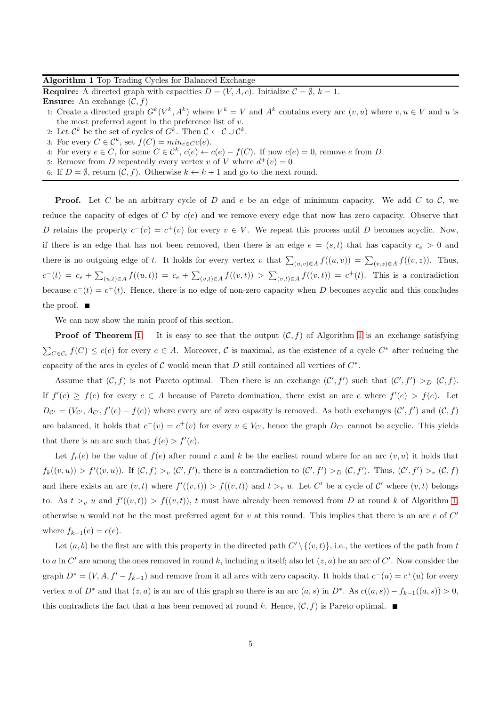#### <span id="page-4-0"></span>Algorithm 1 Top Trading Cycles for Balanced Exchange

**Require:** A directed graph with capacities  $D = (V, A, c)$ . Initialize  $C = \emptyset$ ,  $k = 1$ . **Ensure:** An exchange  $(C, f)$ 

- 1: Create a directed graph  $G^k(V^k, A^k)$  where  $V^k = V$  and  $A^k$  contains every arc  $(v, u)$  where  $v, u \in V$  and u is the most preferred agent in the preference list of  $v$ .
- 2: Let  $\mathcal{C}^k$  be the set of cycles of  $G^k$ . Then  $\mathcal{C} \leftarrow \mathcal{C} \cup \mathcal{C}^k$ .
- 3: For every  $C \in \mathcal{C}^k$ , set  $f(C) = min_{e \in C} c(e)$ .
- 4: For every  $e \in C$ , for some  $C \in \mathcal{C}^k$ ,  $c(e) \leftarrow c(e) f(C)$ . If now  $c(e) = 0$ , remove e from D.
- 5: Remove from D repeatedly every vertex v of V where  $d^+(v) = 0$
- 6: If  $D = \emptyset$ , return  $(C, f)$ . Otherwise  $k \leftarrow k + 1$  and go to the next round.

**Proof.** Let C be an arbitrary cycle of D and e be an edge of minimum capacity. We add C to C, we reduce the capacity of edges of C by  $c(e)$  and we remove every edge that now has zero capacity. Observe that D retains the property  $c^-(v) = c^+(v)$  for every  $v \in V$ . We repeat this process until D becomes acyclic. Now, if there is an edge that has not been removed, then there is an edge  $e = (s, t)$  that has capacity  $c_e > 0$  and there is no outgoing edge of t. It holds for every vertex v that  $\sum_{(u,v)\in A} f((u,v)) = \sum_{(v,z)\in A} f((v,z))$ . Thus,  $c^{-}(t) = c_e + \sum_{(u,t) \in A} f((u,t)) = c_e + \sum_{(v,t) \in A} f((v,t)) > \sum_{(v,t) \in A} f((v,t)) = c^{+}(t)$ . This is a contradiction because  $c^-(t) = c^+(t)$ . Hence, there is no edge of non-zero capacity when D becomes acyclic and this concludes the proof.  $\blacksquare$ 

We can now show the main proof of this section.

**Proof of Theorem [1.](#page-3-2)** It is easy to see that the output  $(C, f)$  of Algorithm [1](#page-4-0) is an exchange satisfying  $\sum_{C \in \mathcal{C}_e} f(C) \leq c(e)$  for every  $e \in A$ . Moreover, C is maximal, as the existence of a cycle  $C^*$  after reducing the capacity of the arcs in cycles of  $\mathcal C$  would mean that D still contained all vertices of  $C^*$ .

Assume that  $(C, f)$  is not Pareto optimal. Then there is an exchange  $(C', f')$  such that  $(C', f') >_D (C, f)$ . If  $f'(e) \ge f(e)$  for every  $e \in A$  because of Pareto domination, there exist an arc e where  $f'(e) > f(e)$ . Let  $D_{\mathcal{C}'} = (V_{\mathcal{C}'}, A_{\mathcal{C}'}, f'(e) - f(e))$  where every arc of zero capacity is removed. As both exchanges  $(\mathcal{C}', f')$  and  $(\mathcal{C}, f)$ are balanced, it holds that  $c^-(v) = c^+(v)$  for every  $v \in V_{\mathcal{C}}$ , hence the graph  $D_{C'}$  cannot be acyclic. This yields that there is an arc such that  $f(e) > f'(e)$ .

Let  $f_r(e)$  be the value of  $f(e)$  after round r and k be the earliest round where for an arc  $(v, u)$  it holds that  $f_k((v,u)) > f'((v,u))$ . If  $(C, f) >_v (C', f')$ , there is a contradiction to  $(C', f') >_D (C, f')$ . Thus,  $(C', f') >_v (C, f)$ and there exists an arc  $(v, t)$  where  $f'(v,t) > f((v, t))$  and  $t >_v u$ . Let C' be a cycle of C' where  $(v, t)$  belongs to. As  $t > v$  u and  $f'(v,t) > f(v,t)$ , t must have already been removed from D at round k of Algorithm [1;](#page-4-0) otherwise u would not be the most preferred agent for  $v$  at this round. This implies that there is an arc  $e$  of  $C'$ where  $f_{k-1}(e) = c(e)$ .

Let  $(a, b)$  be the first arc with this property in the directed path  $C' \setminus \{(v, t)\}\)$ , i.e., the vertices of the path from t to a in  $C'$  are among the ones removed in round k, including a itself; also let  $(z, a)$  be an arc of  $C'$ . Now consider the graph  $D^* = (V, A, f' - f_{k-1})$  and remove from it all arcs with zero capacity. It holds that  $c^-(u) = c^+(u)$  for every vertex u of  $D^*$  and that  $(z, a)$  is an arc of this graph so there is an arc  $(a, s)$  in  $D^*$ . As  $c((a, s)) - f_{k-1}((a, s)) > 0$ , this contradicts the fact that a has been removed at round k. Hence,  $(\mathcal{C}, f)$  is Pareto optimal.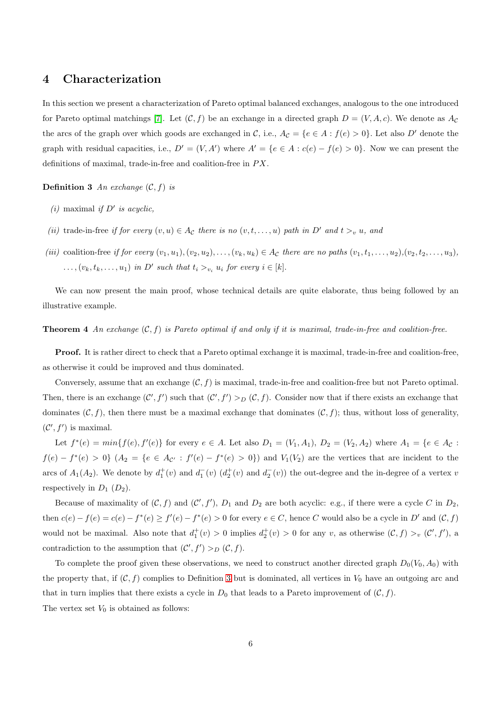### <span id="page-5-0"></span>4 Characterization

In this section we present a characterization of Pareto optimal balanced exchanges, analogous to the one introduced for Pareto optimal matchings [\[7\]](#page-17-7). Let  $(C, f)$  be an exchange in a directed graph  $D = (V, A, c)$ . We denote as  $A_c$ the arcs of the graph over which goods are exchanged in C, i.e.,  $A_{\mathcal{C}} = \{e \in A : f(e) > 0\}$ . Let also D' denote the graph with residual capacities, i.e.,  $D' = (V, A')$  where  $A' = \{e \in A : c(e) - f(e) > 0\}$ . Now we can present the definitions of maximal, trade-in-free and coalition-free in  $PX$ .

#### <span id="page-5-1"></span>**Definition 3** An exchange  $(C, f)$  is

- *(i)* maximal *if* D′ *is acyclic,*
- *(ii)* trade-in-free *if for every*  $(v, u) \in A_c$  *there is no*  $(v, t, \ldots, u)$  *path in*  $D'$  *and*  $t > v$ , *u, and*
- *(iii)* coalition-free *if for every*  $(v_1, u_1)$ ,  $(v_2, u_2)$ , ...,  $(v_k, u_k) \in A_c$  there are no paths  $(v_1, t_1, \ldots, u_2)$ ,  $(v_2, t_2, \ldots, u_3)$ ,  $\dots, (v_k, t_k, \dots, u_1)$  *in* D' such that  $t_i >_{v_i} u_i$  for every  $i \in [k]$ .

<span id="page-5-2"></span>We can now present the main proof, whose technical details are quite elaborate, thus being followed by an illustrative example.

#### **Theorem 4** An exchange  $(C, f)$  is Pareto optimal if and only if it is maximal, trade-in-free and coalition-free.

Proof. It is rather direct to check that a Pareto optimal exchange it is maximal, trade-in-free and coalition-free, as otherwise it could be improved and thus dominated.

Conversely, assume that an exchange  $(C, f)$  is maximal, trade-in-free and coalition-free but not Pareto optimal. Then, there is an exchange  $(C', f')$  such that  $(C', f') >_D (C, f)$ . Consider now that if there exists an exchange that dominates  $(C, f)$ , then there must be a maximal exchange that dominates  $(C, f)$ ; thus, without loss of generality,  $(C', f')$  is maximal.

Let  $f^*(e) = min\{f(e), f'(e)\}\$ for every  $e \in A$ . Let also  $D_1 = (V_1, A_1), D_2 = (V_2, A_2)$  where  $A_1 = \{e \in A_c :$  $f(e) - f^*(e) > 0$   $\{A_2 = \{e \in A_{\mathcal{C}'} : f'(e) - f^*(e) > 0\}\}\$  and  $V_1(V_2)$  are the vertices that are incident to the arcs of  $A_1(A_2)$ . We denote by  $d_1^+(v)$  and  $d_1^ _1^-(v)$   $(d_2^+(v)$  and  $d_2^ \overline{2}(v)$  the out-degree and the in-degree of a vertex v respectively in  $D_1$   $(D_2)$ .

Because of maximality of  $(C, f)$  and  $(C', f')$ ,  $D_1$  and  $D_2$  are both acyclic: e.g., if there were a cycle C in  $D_2$ , then  $c(e) - f(e) = c(e) - f^*(e) \ge f'(e) - f^*(e) > 0$  for every  $e \in C$ , hence C would also be a cycle in D' and  $(C, f)$ would not be maximal. Also note that  $d_1^+(v) > 0$  implies  $d_2^+(v) > 0$  for any v, as otherwise  $(\mathcal{C}, f) >_v (\mathcal{C}', f')$ , a contradiction to the assumption that  $(C', f') >_D (C, f)$ .

To complete the proof given these observations, we need to construct another directed graph  $D_0(V_0, A_0)$  with the property that, if  $(C, f)$  complies to Definition [3](#page-5-1) but is dominated, all vertices in  $V_0$  have an outgoing arc and that in turn implies that there exists a cycle in  $D_0$  that leads to a Pareto improvement of  $(C, f)$ . The vertex set  $V_0$  is obtained as follows: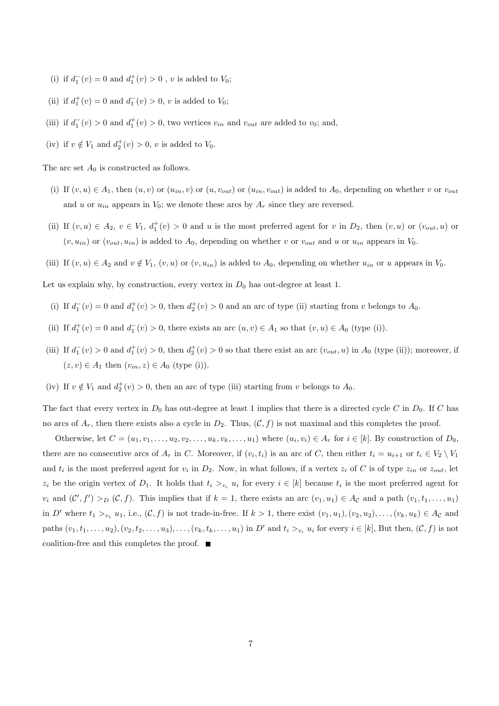- (i) if  $d^-_1(v)=0$  and  $d^+_1(v)>0$  ,  $v$  is added to  $V_0;$
- (ii) if  $d_1^+(v) = 0$  and  $d_1^-(v) > 0$ , v is added to  $V_0$ ;
- (iii) if  $d_1^ \overline{1}(v) > 0$  and  $d_1^+(v) > 0$ , two vertices  $v_{in}$  and  $v_{out}$  are added to  $v_0$ ; and,
- (iv) if  $v \notin V_1$  and  $d_2^+(v) > 0$ , v is added to  $V_0$ .

The arc set  $A_0$  is constructed as follows.

- (i) If  $(v, u) \in A_1$ , then  $(u, v)$  or  $(u_{in}, v)$  or  $(u, v_{out})$  or  $(u_{in}, v_{out})$  is added to  $A_0$ , depending on whether v or  $v_{out}$ and u or  $u_{in}$  appears in  $V_0$ ; we denote these arcs by  $A_r$  since they are reversed.
- (ii) If  $(v, u) \in A_2$ ,  $v \in V_1$ ,  $d_1^+(v) > 0$  and u is the most preferred agent for v in  $D_2$ , then  $(v, u)$  or  $(v_{out}, u)$  or  $(v, u_{in})$  or  $(v_{out}, u_{in})$  is added to  $A_0$ , depending on whether v or  $v_{out}$  and u or  $u_{in}$  appears in  $V_0$ .
- (iii) If  $(v, u) \in A_2$  and  $v \notin V_1$ ,  $(v, u)$  or  $(v, u_{in})$  is added to  $A_0$ , depending on whether  $u_{in}$  or u appears in  $V_0$ .

Let us explain why, by construction, every vertex in  $D_0$  has out-degree at least 1.

- $(i)$  If  $d_1^ \mathcal{L}_1^-(v) = 0$  and  $d_1^+(v) > 0$ , then  $d_2^+(v) > 0$  and an arc of type (ii) starting from v belongs to  $A_0$ .
- (ii) If  $d_1^+(v) = 0$  and  $d_1^-(v) > 0$ , there exists an arc  $(u, v) \in A_1$  so that  $(v, u) \in A_0$  (type (i)).
- (iii) If  $d_1^-(v) > 0$  and  $d_1^+(v) > 0$ , then  $d_2^+(v) > 0$  so that there exist an arc  $(v_{out}, u)$  in  $A_0$  (type (ii)); moreover, if  $(z, v) \in A_1$  then  $(v_{in}, z) \in A_0$  (type (i)).
- (iv) If  $v \notin V_1$  and  $d_2^+(v) > 0$ , then an arc of type (iii) starting from v belongs to  $A_0$ .

The fact that every vertex in  $D_0$  has out-degree at least 1 implies that there is a directed cycle C in  $D_0$ . If C has no arcs of  $A_r$ , then there exists also a cycle in  $D_2$ . Thus,  $(\mathcal{C}, f)$  is not maximal and this completes the proof.

Otherwise, let  $C = (u_1, v_1, \ldots, u_2, v_2, \ldots, u_k, v_k, \ldots, u_1)$  where  $(u_i, v_i) \in A_r$  for  $i \in [k]$ . By construction of  $D_0$ , there are no consecutive arcs of  $A_r$  in C. Moreover, if  $(v_i, t_i)$  is an arc of C, then either  $t_i = u_{i+1}$  or  $t_i \in V_2 \setminus V_1$ and  $t_i$  is the most preferred agent for  $v_i$  in  $D_2$ . Now, in what follows, if a vertex  $z_i$  of C is of type  $z_{in}$  or  $z_{out}$ , let  $z_i$  be the origin vertex of  $D_1$ . It holds that  $t_i >_{v_i} u_i$  for every  $i \in [k]$  because  $t_i$  is the most preferred agent for  $v_i$  and  $(C', f') >_D (C, f)$ . This implies that if  $k = 1$ , there exists an arc  $(v_1, u_1) \in A_C$  and a path  $(v_1, t_1, \ldots, u_1)$ in D' where  $t_1 >_{v_1} u_1$ , i.e.,  $(C, f)$  is not trade-in-free. If  $k > 1$ , there exist  $(v_1, u_1), (v_2, u_2), \ldots, (v_k, u_k) \in A_{\mathcal{C}}$  and paths  $(v_1, t_1, \ldots, u_2), (v_2, t_2, \ldots, u_3), \ldots, (v_k, t_k, \ldots, u_1)$  in D' and  $t_i >_{v_i} u_i$  for every  $i \in [k]$ , But then,  $(C, f)$  is not coalition-free and this completes the proof.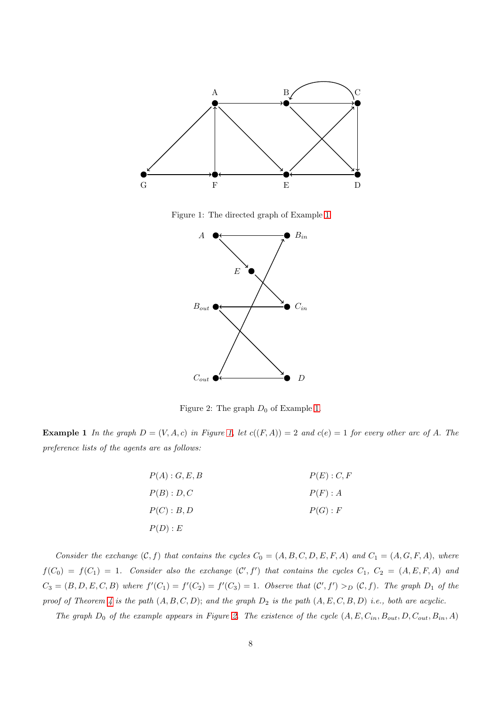

Figure 1: The directed graph of Example [1](#page-9-0)

<span id="page-7-0"></span>

<span id="page-7-1"></span>Figure 2: The graph  $D_0$  of Example [1.](#page-9-0)

**Example 1** In the graph  $D = (V, A, c)$  in Figure [1,](#page-7-0) let  $c((F, A)) = 2$  and  $c(e) = 1$  for every other arc of A. The *preference lists of the agents are as follows:*

| P(A): G, E, B | P(E): C, F |
|---------------|------------|
| P(B): D, C    | P(F): A    |
| P(C): B, D    | P(G): F    |
| P(D):E        |            |

*Consider the exchange*  $(C, f)$  *that contains the cycles*  $C_0 = (A, B, C, D, E, F, A)$  *and*  $C_1 = (A, G, F, A)$ , *where*  $f(C_0) = f(C_1) = 1$ . Consider also the exchange  $(C', f')$  that contains the cycles  $C_1$ ,  $C_2 = (A, E, F, A)$  and  $C_3 = (B, D, E, C, B)$  where  $f'(C_1) = f'(C_2) = f'(C_3) = 1$ . Observe that  $(C', f') >_D (C, f)$ . The graph  $D_1$  of the *proof of Theorem [4](#page-5-2) is the path*  $(A, B, C, D)$ ; *and the graph*  $D_2$  *is the path*  $(A, E, C, B, D)$  *i.e., both are acyclic.* 

*The graph*  $D_0$  *of the example appears in Figure [2.](#page-7-1) The existence of the cycle*  $(A, E, C_{in}, B_{out}, D, C_{out}, B_{in}, A)$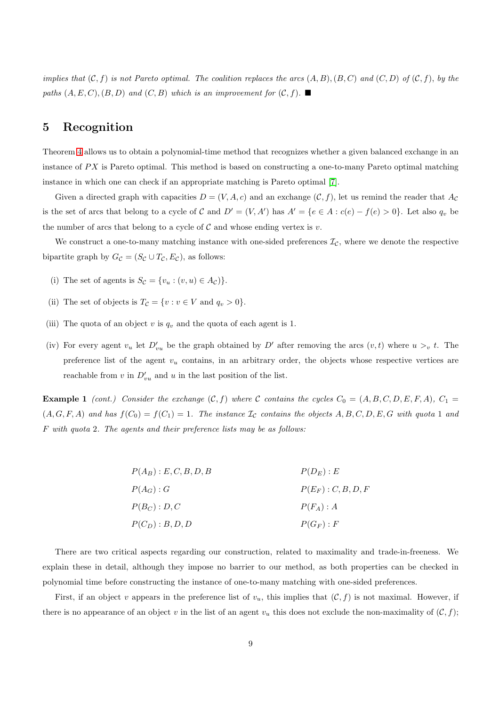<span id="page-8-0"></span>*implies that*  $(C, f)$  *is not Pareto optimal. The coalition replaces the arcs*  $(A, B), (B, C)$  *and*  $(C, D)$  *of*  $(C, f)$ *, by the paths*  $(A, E, C), (B, D)$  *and*  $(C, B)$  *which is an improvement for*  $(C, f)$ *.* 

## 5 Recognition

Theorem [4](#page-5-2) allows us to obtain a polynomial-time method that recognizes whether a given balanced exchange in an instance of  $PX$  is Pareto optimal. This method is based on constructing a one-to-many Pareto optimal matching instance in which one can check if an appropriate matching is Pareto optimal [\[7\]](#page-17-7).

Given a directed graph with capacities  $D = (V, A, c)$  and an exchange  $(C, f)$ , let us remind the reader that  $A_c$ is the set of arcs that belong to a cycle of C and  $D' = (V, A')$  has  $A' = \{e \in A : c(e) - f(e) > 0\}$ . Let also  $q_v$  be the number of arcs that belong to a cycle of  $\mathcal C$  and whose ending vertex is  $v$ .

We construct a one-to-many matching instance with one-sided preferences  $\mathcal{I}_{\mathcal{C}}$ , where we denote the respective bipartite graph by  $G_{\mathcal{C}} = (S_{\mathcal{C}} \cup T_{\mathcal{C}}, E_{\mathcal{C}})$ , as follows:

- (i) The set of agents is  $S_{\mathcal{C}} = \{v_u : (v, u) \in A_{\mathcal{C}}\}\.$
- (ii) The set of objects is  $T_{\mathcal{C}} = \{v : v \in V \text{ and } q_v > 0\}.$
- (iii) The quota of an object v is  $q_v$  and the quota of each agent is 1.
- (iv) For every agent  $v_u$  let  $D'_{vu}$  be the graph obtained by  $D'$  after removing the arcs  $(v, t)$  where  $u >_v t$ . The preference list of the agent  $v_u$  contains, in an arbitrary order, the objects whose respective vertices are reachable from  $v$  in  $D'_{vu}$  and  $u$  in the last position of the list.

**Example 1** *(cont.)* Consider the exchange  $(C, f)$  where C contains the cycles  $C_0 = (A, B, C, D, E, F, A)$ ,  $C_1 =$  $(A, G, F, A)$  and has  $f(C_0) = f(C_1) = 1$ . The instance  $\mathcal{I}_{\mathcal{C}}$  contains the objects  $A, B, C, D, E, G$  with quota 1 and F *with quota* 2*. The agents and their preference lists may be as follows:*

| $P(A_B): E, C, B, D, B$ | $P(D_E):E$           |
|-------------------------|----------------------|
| $P(A_G):G$              | $P(E_F): C, B, D, F$ |
| $P(B_C) : D, C$         | $P(F_A): A$          |
| $P(C_D): B, D, D$       | $P(G_F): F$          |

There are two critical aspects regarding our construction, related to maximality and trade-in-freeness. We explain these in detail, although they impose no barrier to our method, as both properties can be checked in polynomial time before constructing the instance of one-to-many matching with one-sided preferences.

First, if an object v appears in the preference list of  $v_u$ , this implies that  $(C, f)$  is not maximal. However, if there is no appearance of an object v in the list of an agent  $v_u$  this does not exclude the non-maximality of  $(C, f)$ ;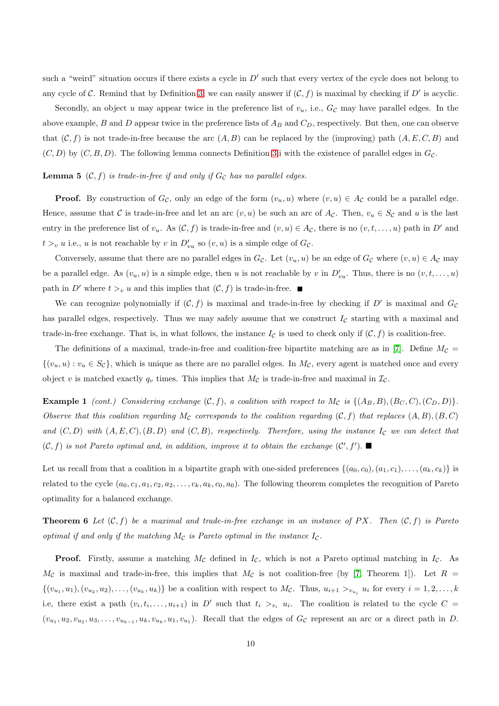such a "weird" situation occurs if there exists a cycle in  $D'$  such that every vertex of the cycle does not belong to any cycle of C. Remind that by Definition [3i](#page-5-1) we can easily answer if  $(C, f)$  is maximal by checking if D' is acyclic.

Secondly, an object u may appear twice in the preference list of  $v_u$ , i.e.,  $G_{\mathcal{C}}$  may have parallel edges. In the above example, B and D appear twice in the preference lists of  $A_B$  and  $C_D$ , respectively. But then, one can observe that  $(C, f)$  is not trade-in-free because the arc  $(A, B)$  can be replaced by the (improving) path  $(A, E, C, B)$  and  $(C, D)$  by  $(C, B, D)$ . The following lemma connects Definition [3i](#page-5-1)i with the existence of parallel edges in  $G<sub>C</sub>$ .

#### **Lemma 5**  $(C, f)$  *is trade-in-free if and only if*  $G<sub>C</sub>$  *has no parallel edges.*

**Proof.** By construction of  $G_c$ , only an edge of the form  $(v_u, u)$  where  $(v, u) \in A_c$  could be a parallel edge. Hence, assume that C is trade-in-free and let an arc  $(v, u)$  be such an arc of  $A_c$ . Then,  $v_u \in S_c$  and u is the last entry in the preference list of  $v_u$ . As  $(C, f)$  is trade-in-free and  $(v, u) \in A_c$ , there is no  $(v, t, \ldots, u)$  path in D' and  $t > v u$  i.e., u is not reachable by v in  $D'_{vu}$  so  $(v, u)$  is a simple edge of  $G_{\mathcal{C}}$ .

Conversely, assume that there are no parallel edges in  $G_{\mathcal{C}}$ . Let  $(v_u, u)$  be an edge of  $G_{\mathcal{C}}$  where  $(v, u) \in A_{\mathcal{C}}$  may be a parallel edge. As  $(v_u, u)$  is a simple edge, then u is not reachable by v in  $D'_{vu}$ . Thus, there is no  $(v, t, \ldots, u)$ path in D' where  $t > v$  u and this implies that  $(C, f)$  is trade-in-free.

We can recognize polynomially if  $(C, f)$  is maximal and trade-in-free by checking if D' is maximal and  $G_{\mathcal{C}}$ has parallel edges, respectively. Thus we may safely assume that we construct  $I_c$  starting with a maximal and trade-in-free exchange. That is, in what follows, the instance  $I_c$  is used to check only if  $(C, f)$  is coalition-free.

<span id="page-9-0"></span>The definitions of a maximal, trade-in-free and coalition-free bipartite matching are as in [\[7\]](#page-17-7). Define  $M_{\mathcal{C}} =$  $\{(v_u, u): v_u \in S_{\mathcal{C}}\}\$ , which is unique as there are no parallel edges. In  $M_{\mathcal{C}}$ , every agent is matched once and every object v is matched exactly  $q_v$  times. This implies that  $M_c$  is trade-in-free and maximal in  $\mathcal{I}_c$ .

Example 1 *(cont.)* Considering exchange  $(C, f)$ , a coalition with respect to  $M_C$  is  $\{(A_B, B), (B_C, C), (C_D, D)\}.$ *Observe that this coalition regarding*  $M_c$  *corresponds to the coalition regarding*  $(C, f)$  *that replaces*  $(A, B), (B, C)$ and  $(C, D)$  with  $(A, E, C), (B, D)$  and  $(C, B)$ *, respectively. Therefore, using the instance*  $I_c$  *we can detect that*  $(C, f)$  is not Pareto optimal and, in addition, improve it to obtain the exchange  $(C', f')$ .

Let us recall from that a coalition in a bipartite graph with one-sided preferences  $\{(a_0, c_0), (a_1, c_1), \ldots, (a_k, c_k)\}$  is related to the cycle  $(a_0, c_1, a_1, c_2, a_2, \ldots, c_k, a_k, c_0, a_0)$ . The following theorem completes the recognition of Pareto optimality for a balanced exchange.

<span id="page-9-1"></span>**Theorem 6** Let  $(C, f)$  be a maximal and trade-in-free exchange in an instance of PX. Then  $(C, f)$  is Pareto *optimal if and only if the matching*  $M_c$  *is Pareto optimal in the instance*  $I_c$ *.* 

**Proof.** Firstly, assume a matching  $M_{\mathcal{C}}$  defined in  $I_{\mathcal{C}}$ , which is not a Pareto optimal matching in  $I_{\mathcal{C}}$ . As  $M_{\mathcal{C}}$  is maximal and trade-in-free, this implies that  $M_{\mathcal{C}}$  is not coalition-free (by [\[7,](#page-17-7) Theorem 1]). Let  $R =$  $\{(v_{u_1}, u_1), (v_{u_2}, u_2), \ldots, (v_{u_k}, u_k)\}\)$  be a coalition with respect to  $M_{\mathcal{C}}$ . Thus,  $u_{i+1} >_{v_{u_i}} u_i$  for every  $i = 1, 2, \ldots, k$ i.e, there exist a path  $(v_i, t_i, \ldots, u_{i+1})$  in D' such that  $t_i >_{v_i} u_i$ . The coalition is related to the cycle  $C =$  $(v_{u_1}, u_2, v_{u_2}, u_3, \ldots, v_{u_{k-1}}, u_k, v_{u_k}, u_1, v_{u_1})$ . Recall that the edges of  $G_{\mathcal{C}}$  represent an arc or a direct path in D.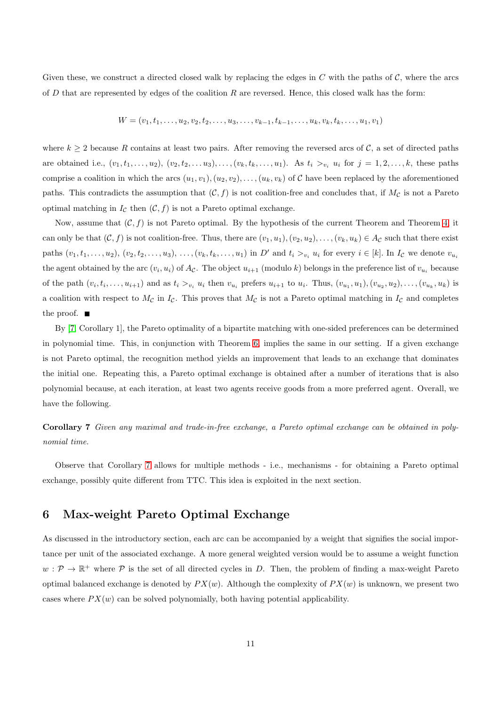Given these, we construct a directed closed walk by replacing the edges in  $C$  with the paths of  $C$ , where the arcs of D that are represented by edges of the coalition  $R$  are reversed. Hence, this closed walk has the form:

$$
W = (v_1, t_1, \ldots, u_2, v_2, t_2, \ldots, u_3, \ldots, v_{k-1}, t_{k-1}, \ldots, u_k, v_k, t_k, \ldots, u_1, v_1)
$$

where  $k \geq 2$  because R contains at least two pairs. After removing the reversed arcs of C, a set of directed paths are obtained i.e.,  $(v_1, t_1, \ldots, u_2)$ ,  $(v_2, t_2, \ldots u_3)$ ,  $\ldots$ ,  $(v_k, t_k, \ldots, u_1)$ . As  $t_i >_{v_i} u_i$  for  $j = 1, 2, \ldots, k$ , these paths comprise a coalition in which the arcs  $(u_1, v_1), (u_2, v_2), \ldots, (u_k, v_k)$  of C have been replaced by the aforementioned paths. This contradicts the assumption that  $(C, f)$  is not coalition-free and concludes that, if  $M_{\mathcal{C}}$  is not a Pareto optimal matching in  $I_{\mathcal{C}}$  then  $(\mathcal{C}, f)$  is not a Pareto optimal exchange.

Now, assume that  $(C, f)$  is not Pareto optimal. By the hypothesis of the current Theorem and Theorem [4,](#page-5-2) it can only be that  $(C, f)$  is not coalition-free. Thus, there are  $(v_1, u_1), (v_2, u_2), \ldots, (v_k, u_k) \in A_{\mathcal{C}}$  such that there exist paths  $(v_1, t_1, \ldots, u_2)$ ,  $(v_2, t_2, \ldots, u_3)$ ,  $\ldots, (v_k, t_k, \ldots, u_1)$  in D' and  $t_i >_{v_i} u_i$  for every  $i \in [k]$ . In  $I_c$  we denote  $v_{u_i}$ the agent obtained by the arc  $(v_i, u_i)$  of  $A_c$ . The object  $u_{i+1}$  (modulo k) belongs in the preference list of  $v_{u_i}$  because of the path  $(v_i, t_i, \ldots, u_{i+1})$  and as  $t_i >_{v_i} u_i$  then  $v_{u_i}$  prefers  $u_{i+1}$  to  $u_i$ . Thus,  $(v_{u_1}, u_1), (v_{u_2}, u_2), \ldots, (v_{u_k}, u_k)$  is a coalition with respect to  $M_c$  in  $I_c$ . This proves that  $M_c$  is not a Pareto optimal matching in  $I_c$  and completes the proof.  $\blacksquare$ 

By [\[7,](#page-17-7) Corollary 1], the Pareto optimality of a bipartite matching with one-sided preferences can be determined in polynomial time. This, in conjunction with Theorem [6,](#page-9-1) implies the same in our setting. If a given exchange is not Pareto optimal, the recognition method yields an improvement that leads to an exchange that dominates the initial one. Repeating this, a Pareto optimal exchange is obtained after a number of iterations that is also polynomial because, at each iteration, at least two agents receive goods from a more preferred agent. Overall, we have the following.

<span id="page-10-1"></span>Corollary 7 *Given any maximal and trade-in-free exchange, a Pareto optimal exchange can be obtained in polynomial time.*

<span id="page-10-0"></span>Observe that Corollary [7](#page-10-1) allows for multiple methods - i.e., mechanisms - for obtaining a Pareto optimal exchange, possibly quite different from TTC. This idea is exploited in the next section.

## 6 Max-weight Pareto Optimal Exchange

As discussed in the introductory section, each arc can be accompanied by a weight that signifies the social importance per unit of the associated exchange. A more general weighted version would be to assume a weight function  $w: \mathcal{P} \to \mathbb{R}^+$  where  $\mathcal{P}$  is the set of all directed cycles in D. Then, the problem of finding a max-weight Pareto optimal balanced exchange is denoted by  $PX(w)$ . Although the complexity of  $PX(w)$  is unknown, we present two cases where  $PX(w)$  can be solved polynomially, both having potential applicability.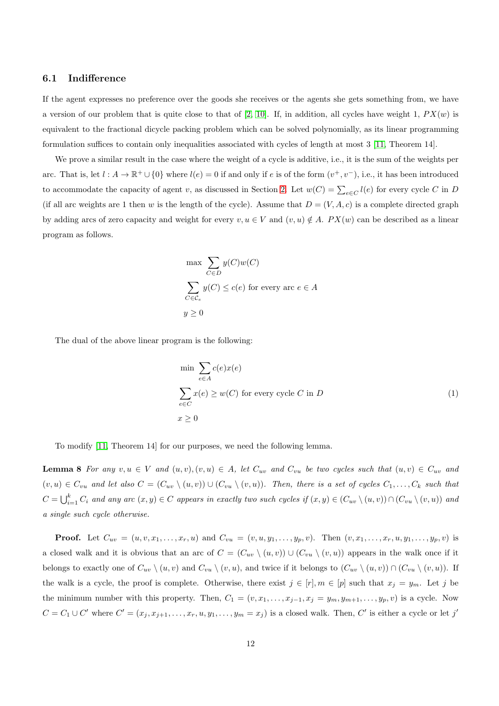### <span id="page-11-2"></span>6.1 Indifference

If the agent expresses no preference over the goods she receives or the agents she gets something from, we have a version of our problem that is quite close to that of [\[2,](#page-16-0) [10\]](#page-17-9). If, in addition, all cycles have weight 1,  $PX(w)$  is equivalent to the fractional dicycle packing problem which can be solved polynomially, as its linear programming formulation suffices to contain only inequalities associated with cycles of length at most 3 [\[11,](#page-17-10) Theorem 14].

We prove a similar result in the case where the weight of a cycle is additive, i.e., it is the sum of the weights per arc. That is, let  $l : A \to \mathbb{R}^+ \cup \{0\}$  where  $l(e) = 0$  if and only if e is of the form  $(v^+, v^-)$ , i.e., it has been introduced to accommodate the capacity of agent v, as discussed in Section [2.](#page-3-1) Let  $w(C) = \sum_{e \in C} l(e)$  for every cycle C in D (if all arc weights are 1 then w is the length of the cycle). Assume that  $D = (V, A, c)$  is a complete directed graph by adding arcs of zero capacity and weight for every  $v, u \in V$  and  $(v, u) \notin A$ .  $PX(w)$  can be described as a linear program as follows.

$$
\max \sum_{C \in D} y(C)w(C)
$$
  

$$
\sum_{C \in \mathcal{C}_e} y(C) \le c(e) \text{ for every arc } e \in A
$$
  

$$
y \ge 0
$$

The dual of the above linear program is the following:

<span id="page-11-0"></span>
$$
\min \sum_{e \in A} c(e)x(e)
$$
\n
$$
\sum_{e \in C} x(e) \ge w(C) \text{ for every cycle } C \text{ in } D
$$
\n
$$
x \ge 0
$$
\n(1)

<span id="page-11-1"></span>To modify [\[11,](#page-17-10) Theorem 14] for our purposes, we need the following lemma.

**Lemma 8** For any  $v, u \in V$  and  $(u, v), (v, u) \in A$ , let  $C_{uv}$  and  $C_{vu}$  be two cycles such that  $(u, v) \in C_{uv}$  and  $(v, u) \in C_{vu}$  and let also  $C = (C_{uv} \setminus (u, v)) \cup (C_{vu} \setminus (v, u))$ . Then, there is a set of cycles  $C_1, \ldots, C_k$  such that  $C = \bigcup_{i=1}^{k} C_i$  and any arc  $(x, y) \in C$  appears in exactly two such cycles if  $(x, y) \in (C_{uv} \setminus (u, v)) \cap (C_{vu} \setminus (v, u))$  and *a single such cycle otherwise.*

**Proof.** Let  $C_{uv} = (u, v, x_1, \dots, x_r, u)$  and  $C_{vu} = (v, u, y_1, \dots, y_p, v)$ . Then  $(v, x_1, \dots, x_r, u, y_1, \dots, y_p, v)$  is a closed walk and it is obvious that an arc of  $C = (C_{uv} \setminus (u, v)) \cup (C_{vu} \setminus (v, u))$  appears in the walk once if it belongs to exactly one of  $C_{uv} \setminus (u, v)$  and  $C_{vu} \setminus (v, u)$ , and twice if it belongs to  $(C_{uv} \setminus (u, v)) \cap (C_{vu} \setminus (v, u))$ . If the walk is a cycle, the proof is complete. Otherwise, there exist  $j \in [r], m \in [p]$  such that  $x_j = y_m$ . Let j be the minimum number with this property. Then,  $C_1 = (v, x_1, \ldots, x_{j-1}, x_j = y_m, y_{m+1}, \ldots, y_p, v)$  is a cycle. Now  $C = C_1 \cup C'$  where  $C' = (x_j, x_{j+1}, \ldots, x_r, u, y_1, \ldots, y_m = x_j)$  is a closed walk. Then,  $C'$  is either a cycle or let j'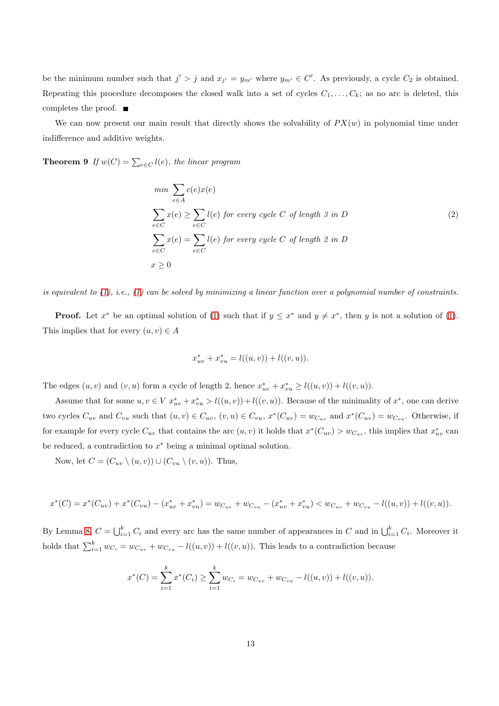be the minimum number such that  $j' > j$  and  $x_{j'} = y_{m'}$  where  $y_{m'} \in C'$ . As previously, a cycle  $C_2$  is obtained. Repeating this procedure decomposes the closed walk into a set of cycles  $C_1, \ldots, C_k$ ; as no arc is deleted, this completes the proof.

<span id="page-12-1"></span>We can now present our main result that directly shows the solvability of  $PX(w)$  in polynomial time under indifference and additive weights.

**Theorem 9** If  $w(C) = \sum_{e \in C} l(e)$ , the linear program

$$
\min \sum_{e \in A} c(e)x(e)
$$
\n
$$
\sum_{e \in C} x(e) \ge \sum_{e \in C} l(e) \text{ for every cycle } C \text{ of length } 3 \text{ in } D
$$
\n
$$
\sum_{e \in C} x(e) = \sum_{e \in C} l(e) \text{ for every cycle } C \text{ of length } 2 \text{ in } D
$$
\n
$$
x \ge 0
$$
\n(2)

*is equivalent to [\(1\)](#page-11-0), i.e., [\(1\)](#page-11-0) can be solved by minimizing a linear function over a polynomial number of constraints.*

**Proof.** Let  $x^*$  be an optimal solution of [\(1\)](#page-11-0) such that if  $y \leq x^*$  and  $y \neq x^*$ , then y is not a solution of (1). This implies that for every  $(u, v) \in A$ 

<span id="page-12-0"></span>
$$
x_{uv}^* + x_{vu}^* = l((u, v)) + l((v, u)).
$$

The edges  $(u, v)$  and  $(v, u)$  form a cycle of length 2, hence  $x_{uv}^* + x_{vu}^* \ge l((u, v)) + l((v, u))$ .

Assume that for some  $u, v \in V$   $x_{uv}^* + x_{vu}^* > l((u, v)) + l((v, u))$ . Because of the minimality of  $x^*$ , one can derive two cycles  $C_{uv}$  and  $C_{vu}$  such that  $(u, v) \in C_{uv}$ ,  $(v, u) \in C_{vu}$ ,  $x^*(C_{uv}) = w_{C_{uv}}$  and  $x^*(C_{uv}) = w_{C_{vu}}$ . Otherwise, if for example for every cycle  $C_{uv}$  that contains the arc  $(u, v)$  it holds that  $x^*(C_{uv}) > w_{C_{uv}}$ , this implies that  $x^*_{uv}$  can be reduced, a contradiction to  $x^*$  being a minimal optimal solution.

Now, let  $C = (C_{uv} \setminus (u, v)) \cup (C_{vu} \setminus (v, u))$ . Thus,

$$
x^*(C) = x^*(C_{uv}) + x^*(C_{vu}) - (x_{uv}^* + x_{vu}^*) = w_{C_{uv}} + w_{C_{vu}} - (x_{uv}^* + x_{vu}^*) < w_{C_{uv}} + w_{C_{vu}} - l((u, v)) + l((v, u)).
$$

By Lemma [8,](#page-11-1)  $C = \bigcup_{i=1}^{k} C_i$  and every arc has the same number of appearances in C and in  $\bigcup_{i=1}^{k} C_i$ . Moreover it holds that  $\sum_{i=1}^{k} w_{C_i} = w_{C_{uv}} + w_{C_{vu}} - l((u, v)) + l((v, u))$ . This leads to a contradiction because

$$
x^*(C) = \sum_{i=1}^k x^*(C_i) \ge \sum_{i=1}^k w_{C_i} = w_{C_{uv}} + w_{C_{vu}} - l((u, v)) + l((v, u)).
$$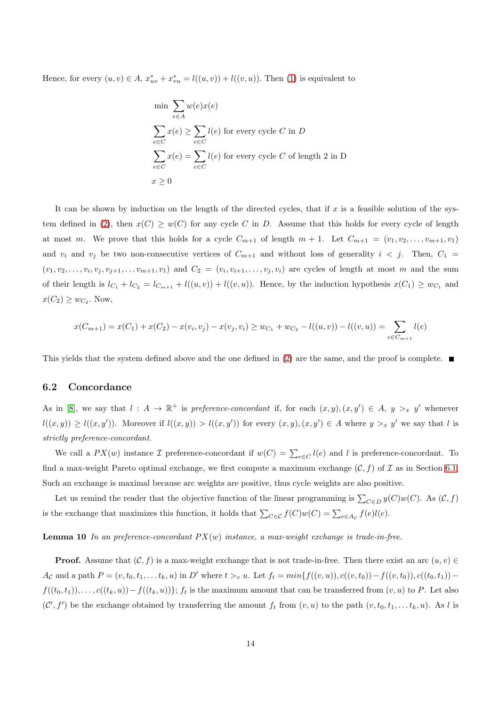Hence, for every  $(u, v) \in A$ ,  $x_{uv}^* + x_{vu}^* = l((u, v)) + l((v, u))$ . Then [\(1\)](#page-11-0) is equivalent to

$$
\min \sum_{e \in A} w(e)x(e)
$$
\n
$$
\sum_{e \in C} x(e) \ge \sum_{e \in C} l(e) \text{ for every cycle } C \text{ in } D
$$
\n
$$
\sum_{e \in C} x(e) = \sum_{e \in C} l(e) \text{ for every cycle } C \text{ of length 2 in D}
$$
\n
$$
x \ge 0
$$

It can be shown by induction on the length of the directed cycles, that if x is a feasible solution of the sys-tem defined in [\(2\)](#page-12-0), then  $x(C) \geq w(C)$  for any cycle C in D. Assume that this holds for every cycle of length at most m. We prove that this holds for a cycle  $C_{m+1}$  of length  $m + 1$ . Let  $C_{m+1} = (v_1, v_2, \ldots, v_{m+1}, v_1)$ and  $v_i$  and  $v_j$  be two non-consecutive vertices of  $C_{m+1}$  and without loss of generality  $i < j$ . Then,  $C_1$  $(v_1, v_2, \ldots, v_i, v_j, v_{j+1}, \ldots v_{m+1}, v_1)$  and  $C_2 = (v_i, v_{i+1}, \ldots, v_j, v_i)$  are cycles of length at most m and the sum of their length is  $l_{C_1} + l_{C_2} = l_{C_{m+1}} + l((u, v)) + l((v, u))$ . Hence, by the induction hypothesis  $x(C_1) \geq w_{C_1}$  and  $x(C_2) \geq w_{C_2}$ . Now,

$$
x(C_{m+1}) = x(C_1) + x(C_2) - x(v_i, v_j) - x(v_j, v_i) \ge w_{C_1} + w_{C_2} - l((u, v)) - l((v, u)) = \sum_{e \in C_{m+1}} l(e)
$$

This yields that the system defined above and the one defined in [\(2\)](#page-12-0) are the same, and the proof is complete.

#### 6.2 Concordance

As in [\[8\]](#page-17-11), we say that  $l : A \to \mathbb{R}^+$  is *preference-concordant* if, for each  $(x, y), (x, y') \in A$ ,  $y >_x y'$  whenever  $l((x,y)) \ge l((x,y'))$ . Moreover if  $l((x,y)) > l((x,y'))$  for every  $(x,y),(x,y') \in A$  where  $y >_x y'$  we say that l is *strictly preference-concordant*.

We call a  $PX(w)$  instance  $\mathcal I$  preference-concordant if  $w(C) = \sum_{e \in C} l(e)$  and l is preference-concordant. To find a max-weight Pareto optimal exchange, we first compute a maximum exchange  $(C, f)$  of  $\mathcal I$  as in Section [6.1.](#page-11-2) Such an exchange is maximal because arc weights are positive, thus cycle weights are also positive.

<span id="page-13-0"></span>Let us remind the reader that the objective function of the linear programming is  $\sum_{C \in D} y(C)w(C)$ . As  $(C, f)$ is the exchange that maximizes this function, it holds that  $\sum_{C \in \mathcal{C}} f(C)w(C) = \sum_{e \in A_C} f(e)l(e)$ .

**Lemma 10** In an preference-concordant  $PX(w)$  instance, a max-weight exchange is trade-in-free.

**Proof.** Assume that  $(C, f)$  is a max-weight exchange that is not trade-in-free. Then there exist an arc  $(u, v) \in$  $A_{\mathcal{C}}$  and a path  $P = (v, t_0, t_1, \ldots t_k, u)$  in D' where  $t > v u$ . Let  $f_t = min{f((v, u)), c((v, t_0)) - f((v, t_0)), c((t_0, t_1)) - f((t_0, t_1))}$  $f((t_0,t_1)),\ldots,c((t_k,u))-f((t_k,u))\};$  f<sub>t</sub> is the maximum amount that can be transferred from  $(v,u)$  to P. Let also  $(C', f')$  be the exchange obtained by transferring the amount  $f_t$  from  $(v, u)$  to the path  $(v, t_0, t_1, \ldots, t_k, u)$ . As l is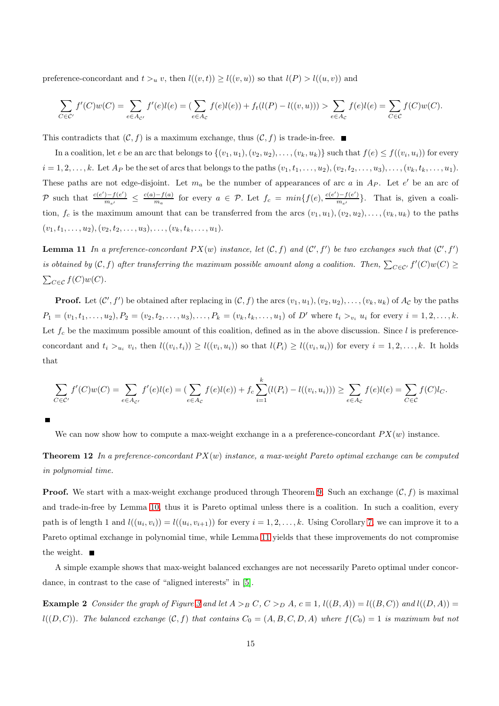preference-concordant and  $t > u v$ , then  $l((v, t)) \ge l((v, u))$  so that  $l(P) > l((u, v))$  and

$$
\sum_{C \in \mathcal{C}'} f'(C)w(C) = \sum_{e \in A_{\mathcal{C}'}} f'(e)l(e) = (\sum_{e \in A_{\mathcal{C}}} f(e)l(e)) + f_t(l(P) - l((v, u))) > \sum_{e \in A_{\mathcal{C}}} f(e)l(e) = \sum_{C \in \mathcal{C}} f(C)w(C).
$$

This contradicts that  $(C, f)$  is a maximum exchange, thus  $(C, f)$  is trade-in-free.

In a coalition, let  $e$  be an arc that belongs to  $\{(v_1,u_1),(v_2,u_2),\ldots,(v_k,u_k)\}$  such that  $f(e) \leq f((v_i,u_i))$  for every  $i = 1, 2, \ldots, k$ . Let  $A_P$  be the set of arcs that belongs to the paths  $(v_1, t_1, \ldots, u_2), (v_2, t_2, \ldots, u_3), \ldots, (v_k, t_k, \ldots, u_1)$ . These paths are not edge-disjoint. Let  $m_a$  be the number of appearances of arc a in  $A_P$ . Let e' be an arc of P such that  $\frac{c(e') - f(e')}{m_{e'}} \leq \frac{c(a) - f(a)}{m_a}$  $\frac{f(a)-f(a)}{m_a}$  for every  $a \in \mathcal{P}$ . Let  $f_c = min\{f(e), \frac{c(e')-f(e')}{m_{e'}}\}$  $\frac{y-f(e)}{m_{e'}}$ . That is, given a coalition,  $f_c$  is the maximum amount that can be transferred from the arcs  $(v_1, u_1), (v_2, u_2), \ldots, (v_k, u_k)$  to the paths  $(v_1, t_1, \ldots, u_2), (v_2, t_2, \ldots, u_3), \ldots, (v_k, t_k, \ldots, u_1).$ 

<span id="page-14-0"></span>**Lemma 11** In a preference-concordant  $PX(w)$  instance, let  $(C, f)$  and  $(C', f')$  be two exchanges such that  $(C', f')$ *is obtained by*  $(C, f)$  after transferring the maximum possible amount along a coalition. Then,  $\sum_{C \in \mathcal{C}'} f'(C)w(C) \ge$  $\sum_{C \in \mathcal{C}} f(C) w(C)$ .

**Proof.** Let  $(C', f')$  be obtained after replacing in  $(C, f)$  the arcs  $(v_1, u_1), (v_2, u_2), \ldots, (v_k, u_k)$  of  $A_C$  by the paths  $P_1 = (v_1, t_1, \ldots, u_2), P_2 = (v_2, t_2, \ldots, u_3), \ldots, P_k = (v_k, t_k, \ldots, u_1)$  of D' where  $t_i >_{v_i} u_i$  for every  $i = 1, 2, \ldots, k$ . Let  $f_c$  be the maximum possible amount of this coalition, defined as in the above discussion. Since l is preferenceconcordant and  $t_i >_{u_i} v_i$ , then  $l((v_i, t_i)) \ge l((v_i, u_i))$  so that  $l(P_i) \ge l((v_i, u_i))$  for every  $i = 1, 2, ..., k$ . It holds that

$$
\sum_{C \in \mathcal{C}'} f'(C)w(C) = \sum_{e \in A_{\mathcal{C}'}} f'(e)l(e) = \left(\sum_{e \in A_{\mathcal{C}}} f(e)l(e)\right) + f_c \sum_{i=1}^k (l(P_i) - l((v_i, u_i))) \ge \sum_{e \in A_{\mathcal{C}}} f(e)l(e) = \sum_{C \in \mathcal{C}} f(C)l_C.
$$

We can now show how to compute a max-weight exchange in a a preference-concordant  $PX(w)$  instance.

**Theorem 12** In a preference-concordant  $PX(w)$  instance, a max-weight Pareto optimal exchange can be computed *in polynomial time.*

**Proof.** We start with a max-weight exchange produced through Theorem [9.](#page-12-1) Such an exchange  $(C, f)$  is maximal and trade-in-free by Lemma [10,](#page-13-0) thus it is Pareto optimal unless there is a coalition. In such a coalition, every path is of length 1 and  $l((u_i, v_i)) = l((u_i, v_{i+1}))$  for every  $i = 1, 2, ..., k$ . Using Corollary [7,](#page-10-1) we can improve it to a Pareto optimal exchange in polynomial time, while Lemma [11](#page-14-0) yields that these improvements do not compromise the weight.  $\blacksquare$ 

<span id="page-14-1"></span>A simple example shows that max-weight balanced exchanges are not necessarily Pareto optimal under concordance, in contrast to the case of "aligned interests" in [\[5\]](#page-17-2).

**Example 2** Consider the graph of Figure [3](#page-15-1) and let  $A > B$  C,  $C > D$  A,  $c \equiv 1$ ,  $l((B, A)) = l((B, C))$  and  $l((D, A)) =$  $l((D, C))$ . The balanced exchange  $(C, f)$  that contains  $C_0 = (A, B, C, D, A)$  where  $f(C_0) = 1$  is maximum but not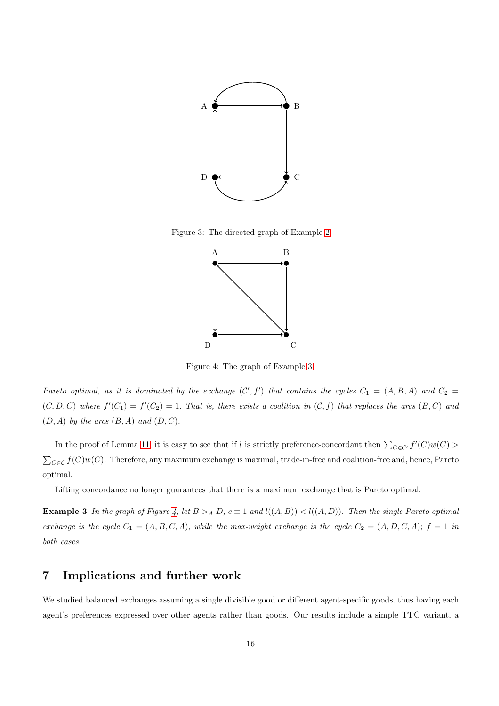

Figure 3: The directed graph of Example [2](#page-14-1)

<span id="page-15-1"></span>

<span id="page-15-3"></span><span id="page-15-2"></span>Figure 4: The graph of Example [3](#page-15-2)

Pareto optimal, as it is dominated by the exchange  $(C', f')$  that contains the cycles  $C_1 = (A, B, A)$  and  $C_2 =$  $(C, D, C)$  where  $f'(C_1) = f'(C_2) = 1$ . That is, there exists a coalition in  $(C, f)$  that replaces the arcs  $(B, C)$  and  $(D, A)$  *by the arcs*  $(B, A)$  *and*  $(D, C)$ *.* 

In the proof of Lemma [11,](#page-14-0) it is easy to see that if l is strictly preference-concordant then  $\sum_{C \in \mathcal{C}'} f'(C)w(C)$  $\sum_{C \in \mathcal{C}} f(C)w(C)$ . Therefore, any maximum exchange is maximal, trade-in-free and coalition-free and, hence, Pareto optimal.

Lifting concordance no longer guarantees that there is a maximum exchange that is Pareto optimal.

**Example 3** In the graph of Figure [4,](#page-15-3) let  $B >_A D$ ,  $c \equiv 1$  and  $l((A, B)) < l((A, D))$ . Then the single Pareto optimal *exchange is the cycle*  $C_1 = (A, B, C, A)$ , *while the max-weight exchange is the cycle*  $C_2 = (A, D, C, A)$ ;  $f = 1$  *in both cases.*

## <span id="page-15-0"></span>7 Implications and further work

We studied balanced exchanges assuming a single divisible good or different agent-specific goods, thus having each agent's preferences expressed over other agents rather than goods. Our results include a simple TTC variant, a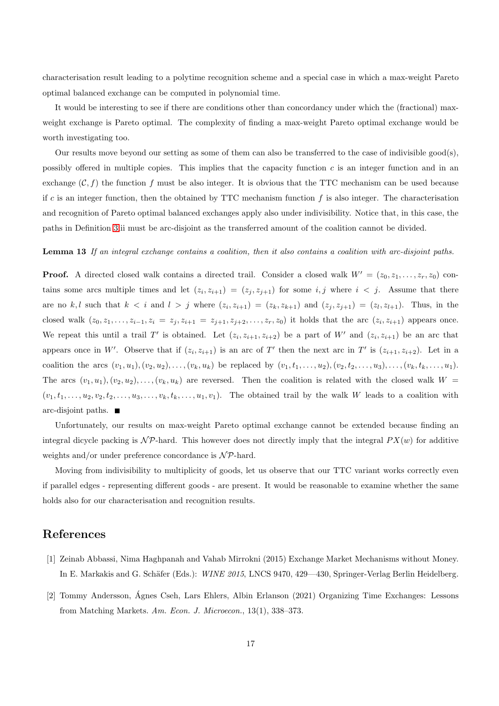characterisation result leading to a polytime recognition scheme and a special case in which a max-weight Pareto optimal balanced exchange can be computed in polynomial time.

It would be interesting to see if there are conditions other than concordancy under which the (fractional) maxweight exchange is Pareto optimal. The complexity of finding a max-weight Pareto optimal exchange would be worth investigating too.

Our results move beyond our setting as some of them can also be transferred to the case of indivisible good(s), possibly offered in multiple copies. This implies that the capacity function  $c$  is an integer function and in an exchange  $(C, f)$  the function f must be also integer. It is obvious that the TTC mechanism can be used because if c is an integer function, then the obtained by TTC mechanism function f is also integer. The characterisation and recognition of Pareto optimal balanced exchanges apply also under indivisibility. Notice that, in this case, the paths in Definition [3i](#page-5-1)ii must be arc-disjoint as the transferred amount of the coalition cannot be divided.

Lemma 13 *If an integral exchange contains a coalition, then it also contains a coalition with arc-disjoint paths.*

**Proof.** A directed closed walk contains a directed trail. Consider a closed walk  $W' = (z_0, z_1, \ldots, z_r, z_0)$  contains some arcs multiple times and let  $(z_i, z_{i+1}) = (z_j, z_{j+1})$  for some  $i, j$  where  $i < j$ . Assume that there are no k, l such that  $k < i$  and  $l > j$  where  $(z_i, z_{i+1}) = (z_k, z_{k+1})$  and  $(z_j, z_{j+1}) = (z_l, z_{l+1})$ . Thus, in the closed walk  $(z_0, z_1, \ldots, z_{i-1}, z_i = z_j, z_{i+1} = z_{j+1}, z_{j+2}, \ldots, z_r, z_0)$  it holds that the arc  $(z_i, z_{i+1})$  appears once. We repeat this until a trail T' is obtained. Let  $(z_i, z_{i+1}, z_{i+2})$  be a part of W' and  $(z_i, z_{i+1})$  be an arc that appears once in W'. Observe that if  $(z_i, z_{i+1})$  is an arc of T' then the next arc in T' is  $(z_{i+1}, z_{i+2})$ . Let in a coalition the arcs  $(v_1, u_1), (v_2, u_2), \ldots, (v_k, u_k)$  be replaced by  $(v_1, t_1, \ldots, u_2), (v_2, t_2, \ldots, u_3), \ldots, (v_k, t_k, \ldots, u_1)$ . The arcs  $(v_1, u_1), (v_2, u_2), \ldots, (v_k, u_k)$  are reversed. Then the coalition is related with the closed walk  $W =$  $(v_1, t_1, \ldots, u_2, v_2, t_2, \ldots, u_3, \ldots, v_k, t_k, \ldots, u_1, v_1)$ . The obtained trail by the walk W leads to a coalition with arc-disjoint paths.

Unfortunately, our results on max-weight Pareto optimal exchange cannot be extended because finding an integral dicycle packing is  $\mathcal{NP}$ -hard. This however does not directly imply that the integral  $PX(w)$  for additive weights and/or under preference concordance is  $N\mathcal{P}$ -hard.

Moving from indivisibility to multiplicity of goods, let us observe that our TTC variant works correctly even if parallel edges - representing different goods - are present. It would be reasonable to examine whether the same holds also for our characterisation and recognition results.

## <span id="page-16-1"></span>References

- <span id="page-16-0"></span>[1] Zeinab Abbassi, Nima Haghpanah and Vahab Mirrokni (2015) Exchange Market Mechanisms without Money. In E. Markakis and G. Schäfer (Eds.): *WINE 2015*, LNCS 9470, 429—430, Springer-Verlag Berlin Heidelberg.
- [2] Tommy Andersson, Ágnes Cseh, Lars Ehlers, Albin Erlanson (2021) Organizing Time Exchanges: Lessons from Matching Markets. *Am. Econ. J. Microecon.*, 13(1), 338–373.